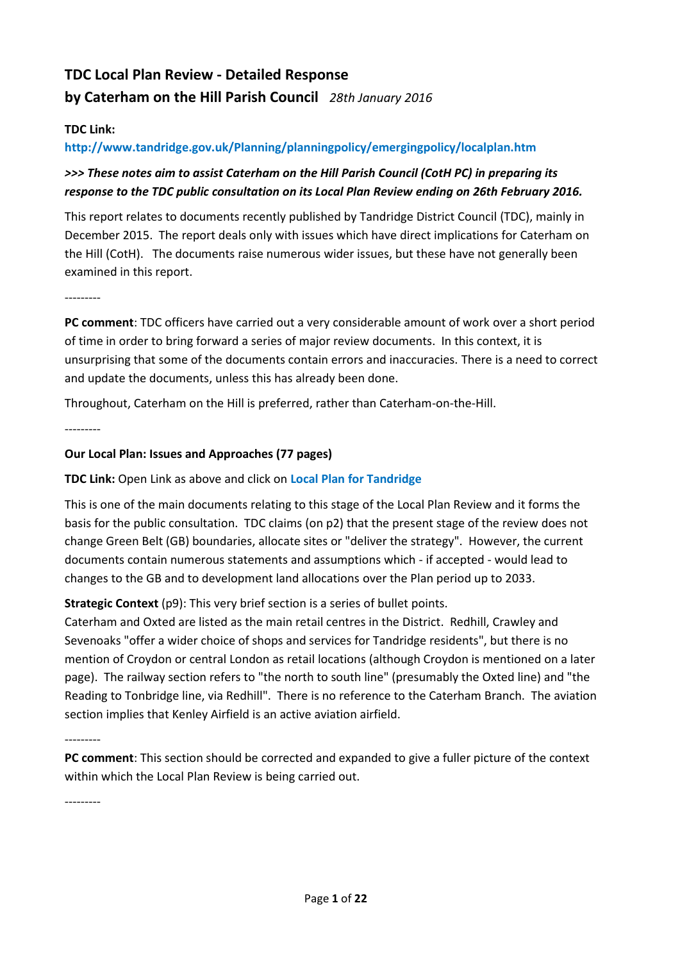# **TDC Local Plan Review - Detailed Response by Caterham on the Hill Parish Council** *28th January 2016*

#### **TDC Link:**

#### **http://www.tandridge.gov.uk/Planning/planningpolicy/emergingpolicy/localplan.htm**

### *>>> These notes aim to assist Caterham on the Hill Parish Council (CotH PC) in preparing its response to the TDC public consultation on its Local Plan Review ending on 26th February 2016.*

This report relates to documents recently published by Tandridge District Council (TDC), mainly in December 2015. The report deals only with issues which have direct implications for Caterham on the Hill (CotH). The documents raise numerous wider issues, but these have not generally been examined in this report.

---------

**PC comment**: TDC officers have carried out a very considerable amount of work over a short period of time in order to bring forward a series of major review documents. In this context, it is unsurprising that some of the documents contain errors and inaccuracies. There is a need to correct and update the documents, unless this has already been done.

Throughout, Caterham on the Hill is preferred, rather than Caterham-on-the-Hill.

---------

#### **Our Local Plan: Issues and Approaches (77 pages)**

#### **TDC Link:** Open Link as above and click on **Local Plan for Tandridge**

This is one of the main documents relating to this stage of the Local Plan Review and it forms the basis for the public consultation. TDC claims (on p2) that the present stage of the review does not change Green Belt (GB) boundaries, allocate sites or "deliver the strategy". However, the current documents contain numerous statements and assumptions which - if accepted - would lead to changes to the GB and to development land allocations over the Plan period up to 2033.

#### **Strategic Context** (p9): This very brief section is a series of bullet points.

Caterham and Oxted are listed as the main retail centres in the District. Redhill, Crawley and Sevenoaks "offer a wider choice of shops and services for Tandridge residents", but there is no mention of Croydon or central London as retail locations (although Croydon is mentioned on a later page). The railway section refers to "the north to south line" (presumably the Oxted line) and "the Reading to Tonbridge line, via Redhill". There is no reference to the Caterham Branch. The aviation section implies that Kenley Airfield is an active aviation airfield.

---------

**PC comment**: This section should be corrected and expanded to give a fuller picture of the context within which the Local Plan Review is being carried out.

---------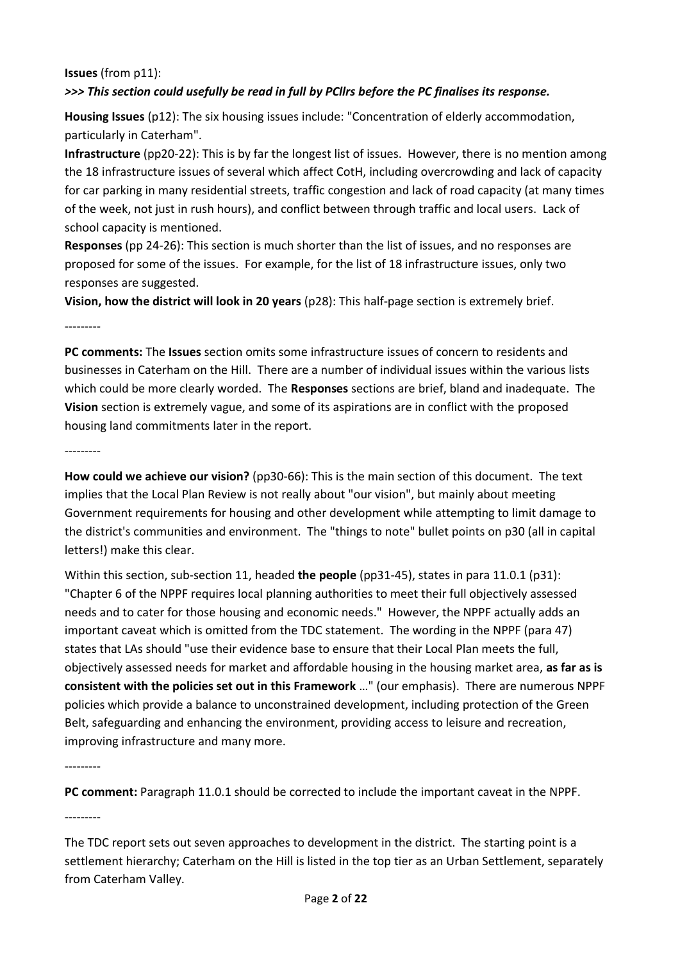#### **Issues** (from p11): *>>> This section could usefully be read in full by PCllrs before the PC finalises its response.*

**Housing Issues** (p12): The six housing issues include: "Concentration of elderly accommodation, particularly in Caterham".

**Infrastructure** (pp20-22): This is by far the longest list of issues. However, there is no mention among the 18 infrastructure issues of several which affect CotH, including overcrowding and lack of capacity for car parking in many residential streets, traffic congestion and lack of road capacity (at many times of the week, not just in rush hours), and conflict between through traffic and local users. Lack of school capacity is mentioned.

**Responses** (pp 24-26): This section is much shorter than the list of issues, and no responses are proposed for some of the issues. For example, for the list of 18 infrastructure issues, only two responses are suggested.

**Vision, how the district will look in 20 years** (p28): This half-page section is extremely brief.

---------

**PC comments:** The **Issues** section omits some infrastructure issues of concern to residents and businesses in Caterham on the Hill. There are a number of individual issues within the various lists which could be more clearly worded. The **Responses** sections are brief, bland and inadequate. The **Vision** section is extremely vague, and some of its aspirations are in conflict with the proposed housing land commitments later in the report.

---------

**How could we achieve our vision?** (pp30-66): This is the main section of this document. The text implies that the Local Plan Review is not really about "our vision", but mainly about meeting Government requirements for housing and other development while attempting to limit damage to the district's communities and environment. The "things to note" bullet points on p30 (all in capital letters!) make this clear.

Within this section, sub-section 11, headed **the people** (pp31-45), states in para 11.0.1 (p31): "Chapter 6 of the NPPF requires local planning authorities to meet their full objectively assessed needs and to cater for those housing and economic needs." However, the NPPF actually adds an important caveat which is omitted from the TDC statement. The wording in the NPPF (para 47) states that LAs should "use their evidence base to ensure that their Local Plan meets the full, objectively assessed needs for market and affordable housing in the housing market area, **as far as is consistent with the policies set out in this Framework** …" (our emphasis). There are numerous NPPF policies which provide a balance to unconstrained development, including protection of the Green Belt, safeguarding and enhancing the environment, providing access to leisure and recreation, improving infrastructure and many more.

---------

**PC comment:** Paragraph 11.0.1 should be corrected to include the important caveat in the NPPF.

---------

The TDC report sets out seven approaches to development in the district. The starting point is a settlement hierarchy; Caterham on the Hill is listed in the top tier as an Urban Settlement, separately from Caterham Valley.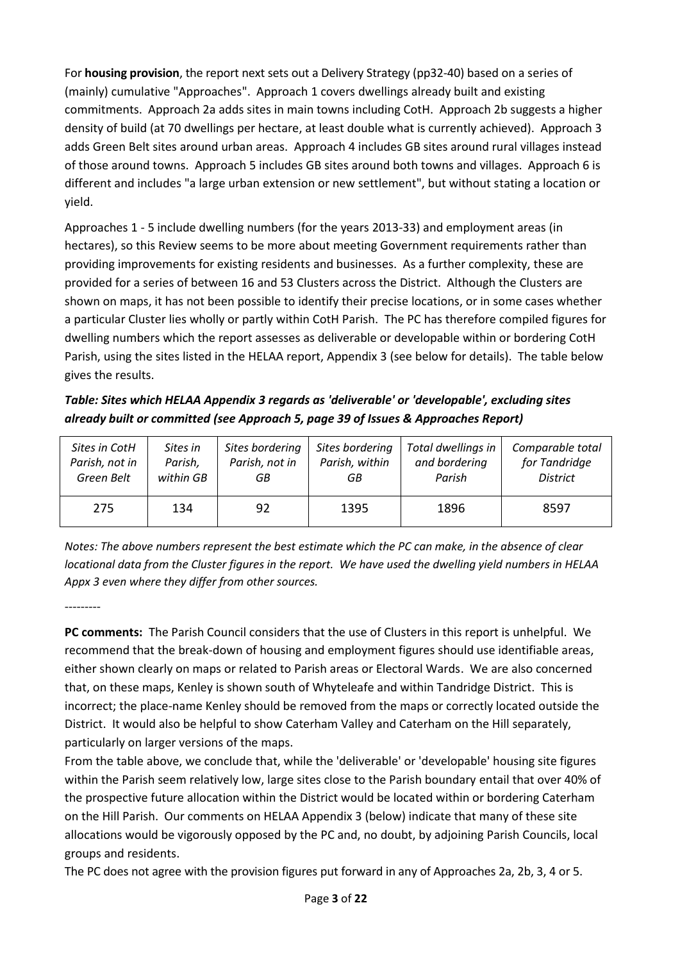For **housing provision**, the report next sets out a Delivery Strategy (pp32-40) based on a series of (mainly) cumulative "Approaches". Approach 1 covers dwellings already built and existing commitments. Approach 2a adds sites in main towns including CotH. Approach 2b suggests a higher density of build (at 70 dwellings per hectare, at least double what is currently achieved). Approach 3 adds Green Belt sites around urban areas. Approach 4 includes GB sites around rural villages instead of those around towns. Approach 5 includes GB sites around both towns and villages. Approach 6 is different and includes "a large urban extension or new settlement", but without stating a location or yield.

Approaches 1 - 5 include dwelling numbers (for the years 2013-33) and employment areas (in hectares), so this Review seems to be more about meeting Government requirements rather than providing improvements for existing residents and businesses. As a further complexity, these are provided for a series of between 16 and 53 Clusters across the District. Although the Clusters are shown on maps, it has not been possible to identify their precise locations, or in some cases whether a particular Cluster lies wholly or partly within CotH Parish. The PC has therefore compiled figures for dwelling numbers which the report assesses as deliverable or developable within or bordering CotH Parish, using the sites listed in the HELAA report, Appendix 3 (see below for details). The table below gives the results.

*Table: Sites which HELAA Appendix 3 regards as 'deliverable' or 'developable', excluding sites already built or committed (see Approach 5, page 39 of Issues & Approaches Report)*

| Sites in CotH  | Sites in  | Sites bordering | Sites bordering | Total dwellings in | Comparable total |
|----------------|-----------|-----------------|-----------------|--------------------|------------------|
| Parish, not in | Parish,   | Parish, not in  | Parish, within  | and bordering      | for Tandridge    |
| Green Belt     | within GB | GВ              | GВ              | Parish             | <b>District</b>  |
| 275            | 134       | 92              | 1395            | 1896               | 8597             |

*Notes: The above numbers represent the best estimate which the PC can make, in the absence of clear locational data from the Cluster figures in the report. We have used the dwelling yield numbers in HELAA Appx 3 even where they differ from other sources.*

---------

**PC comments:** The Parish Council considers that the use of Clusters in this report is unhelpful. We recommend that the break-down of housing and employment figures should use identifiable areas, either shown clearly on maps or related to Parish areas or Electoral Wards. We are also concerned that, on these maps, Kenley is shown south of Whyteleafe and within Tandridge District. This is incorrect; the place-name Kenley should be removed from the maps or correctly located outside the District. It would also be helpful to show Caterham Valley and Caterham on the Hill separately, particularly on larger versions of the maps.

From the table above, we conclude that, while the 'deliverable' or 'developable' housing site figures within the Parish seem relatively low, large sites close to the Parish boundary entail that over 40% of the prospective future allocation within the District would be located within or bordering Caterham on the Hill Parish. Our comments on HELAA Appendix 3 (below) indicate that many of these site allocations would be vigorously opposed by the PC and, no doubt, by adjoining Parish Councils, local groups and residents.

The PC does not agree with the provision figures put forward in any of Approaches 2a, 2b, 3, 4 or 5.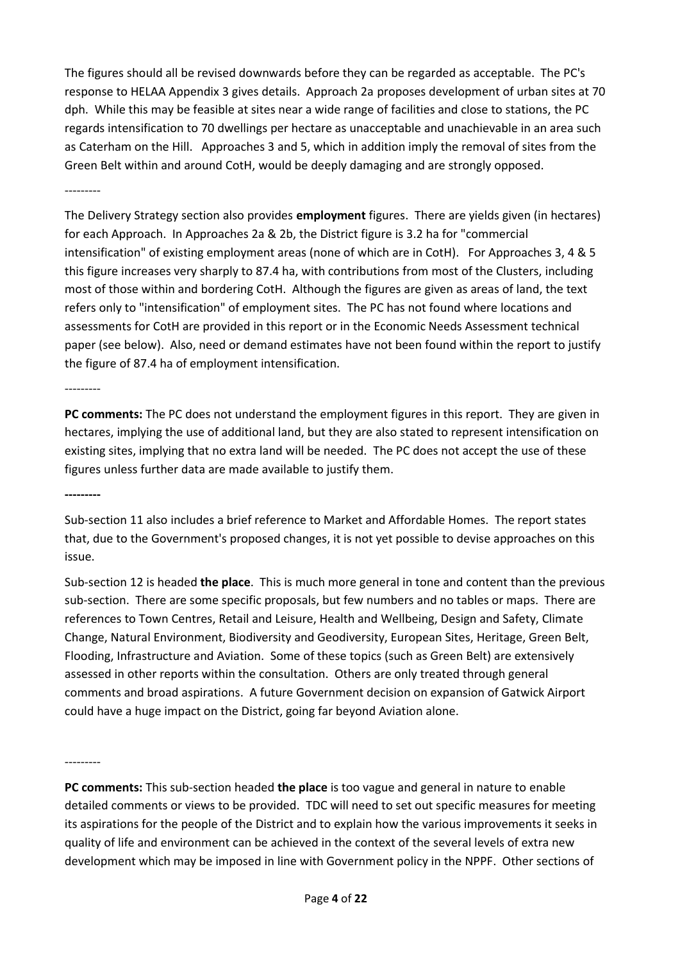The figures should all be revised downwards before they can be regarded as acceptable. The PC's response to HELAA Appendix 3 gives details. Approach 2a proposes development of urban sites at 70 dph. While this may be feasible at sites near a wide range of facilities and close to stations, the PC regards intensification to 70 dwellings per hectare as unacceptable and unachievable in an area such as Caterham on the Hill. Approaches 3 and 5, which in addition imply the removal of sites from the Green Belt within and around CotH, would be deeply damaging and are strongly opposed.

---------

The Delivery Strategy section also provides **employment** figures. There are yields given (in hectares) for each Approach. In Approaches 2a & 2b, the District figure is 3.2 ha for "commercial intensification" of existing employment areas (none of which are in CotH). For Approaches 3, 4 & 5 this figure increases very sharply to 87.4 ha, with contributions from most of the Clusters, including most of those within and bordering CotH. Although the figures are given as areas of land, the text refers only to "intensification" of employment sites. The PC has not found where locations and assessments for CotH are provided in this report or in the Economic Needs Assessment technical paper (see below). Also, need or demand estimates have not been found within the report to justify the figure of 87.4 ha of employment intensification.

---------

**PC comments:** The PC does not understand the employment figures in this report. They are given in hectares, implying the use of additional land, but they are also stated to represent intensification on existing sites, implying that no extra land will be needed. The PC does not accept the use of these figures unless further data are made available to justify them.

**---------**

Sub-section 11 also includes a brief reference to Market and Affordable Homes. The report states that, due to the Government's proposed changes, it is not yet possible to devise approaches on this issue.

Sub-section 12 is headed **the place**. This is much more general in tone and content than the previous sub-section. There are some specific proposals, but few numbers and no tables or maps. There are references to Town Centres, Retail and Leisure, Health and Wellbeing, Design and Safety, Climate Change, Natural Environment, Biodiversity and Geodiversity, European Sites, Heritage, Green Belt, Flooding, Infrastructure and Aviation. Some of these topics (such as Green Belt) are extensively assessed in other reports within the consultation. Others are only treated through general comments and broad aspirations. A future Government decision on expansion of Gatwick Airport could have a huge impact on the District, going far beyond Aviation alone.

---------

**PC comments:** This sub-section headed **the place** is too vague and general in nature to enable detailed comments or views to be provided. TDC will need to set out specific measures for meeting its aspirations for the people of the District and to explain how the various improvements it seeks in quality of life and environment can be achieved in the context of the several levels of extra new development which may be imposed in line with Government policy in the NPPF. Other sections of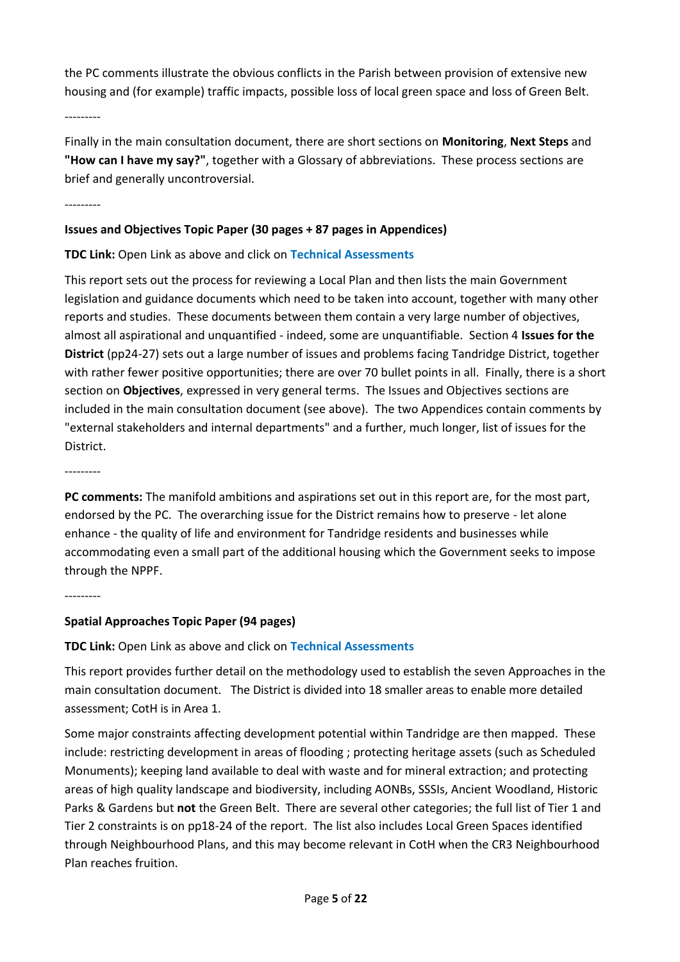the PC comments illustrate the obvious conflicts in the Parish between provision of extensive new housing and (for example) traffic impacts, possible loss of local green space and loss of Green Belt.

---------

Finally in the main consultation document, there are short sections on **Monitoring**, **Next Steps** and **"How can I have my say?"**, together with a Glossary of abbreviations. These process sections are brief and generally uncontroversial.

---------

#### **Issues and Objectives Topic Paper (30 pages + 87 pages in Appendices)**

### **TDC Link:** Open Link as above and click on **Technical Assessments**

This report sets out the process for reviewing a Local Plan and then lists the main Government legislation and guidance documents which need to be taken into account, together with many other reports and studies. These documents between them contain a very large number of objectives, almost all aspirational and unquantified - indeed, some are unquantifiable. Section 4 **Issues for the District** (pp24-27) sets out a large number of issues and problems facing Tandridge District, together with rather fewer positive opportunities; there are over 70 bullet points in all. Finally, there is a short section on **Objectives**, expressed in very general terms. The Issues and Objectives sections are included in the main consultation document (see above). The two Appendices contain comments by "external stakeholders and internal departments" and a further, much longer, list of issues for the District.

---------

**PC comments:** The manifold ambitions and aspirations set out in this report are, for the most part, endorsed by the PC. The overarching issue for the District remains how to preserve - let alone enhance - the quality of life and environment for Tandridge residents and businesses while accommodating even a small part of the additional housing which the Government seeks to impose through the NPPF.

---------

### **Spatial Approaches Topic Paper (94 pages)**

**TDC Link:** Open Link as above and click on **Technical Assessments**

This report provides further detail on the methodology used to establish the seven Approaches in the main consultation document. The District is divided into 18 smaller areas to enable more detailed assessment; CotH is in Area 1.

Some major constraints affecting development potential within Tandridge are then mapped. These include: restricting development in areas of flooding ; protecting heritage assets (such as Scheduled Monuments); keeping land available to deal with waste and for mineral extraction; and protecting areas of high quality landscape and biodiversity, including AONBs, SSSIs, Ancient Woodland, Historic Parks & Gardens but **not** the Green Belt. There are several other categories; the full list of Tier 1 and Tier 2 constraints is on pp18-24 of the report. The list also includes Local Green Spaces identified through Neighbourhood Plans, and this may become relevant in CotH when the CR3 Neighbourhood Plan reaches fruition.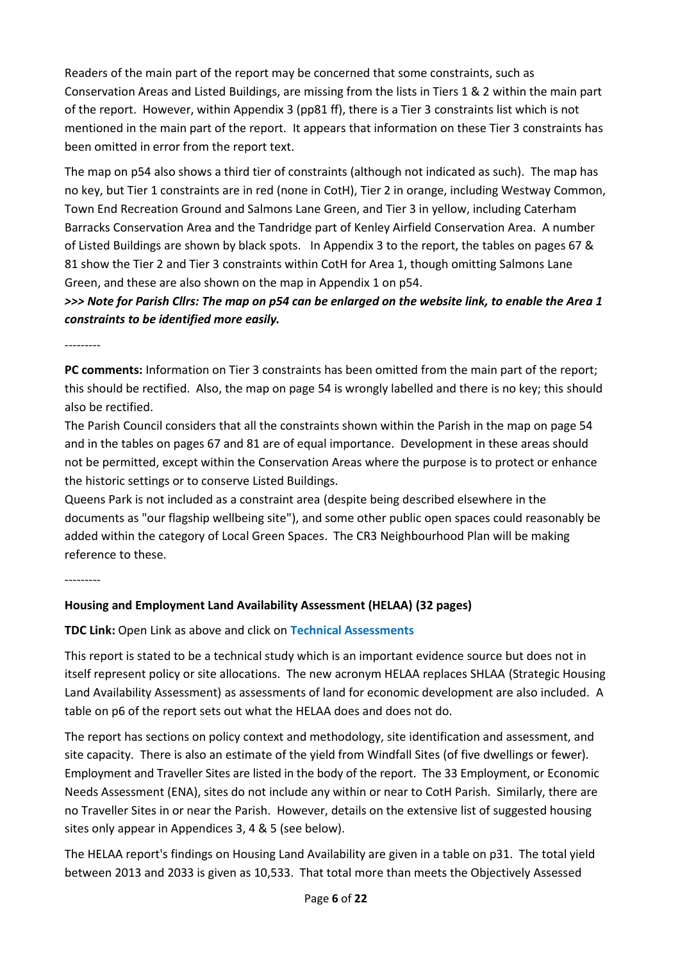Readers of the main part of the report may be concerned that some constraints, such as Conservation Areas and Listed Buildings, are missing from the lists in Tiers 1 & 2 within the main part of the report. However, within Appendix 3 (pp81 ff), there is a Tier 3 constraints list which is not mentioned in the main part of the report. It appears that information on these Tier 3 constraints has been omitted in error from the report text.

The map on p54 also shows a third tier of constraints (although not indicated as such). The map has no key, but Tier 1 constraints are in red (none in CotH), Tier 2 in orange, including Westway Common, Town End Recreation Ground and Salmons Lane Green, and Tier 3 in yellow, including Caterham Barracks Conservation Area and the Tandridge part of Kenley Airfield Conservation Area. A number of Listed Buildings are shown by black spots. In Appendix 3 to the report, the tables on pages 67 & 81 show the Tier 2 and Tier 3 constraints within CotH for Area 1, though omitting Salmons Lane Green, and these are also shown on the map in Appendix 1 on p54.

*>>> Note for Parish Cllrs: The map on p54 can be enlarged on the website link, to enable the Area 1 constraints to be identified more easily.*

---------

**PC comments:** Information on Tier 3 constraints has been omitted from the main part of the report; this should be rectified. Also, the map on page 54 is wrongly labelled and there is no key; this should also be rectified.

The Parish Council considers that all the constraints shown within the Parish in the map on page 54 and in the tables on pages 67 and 81 are of equal importance. Development in these areas should not be permitted, except within the Conservation Areas where the purpose is to protect or enhance the historic settings or to conserve Listed Buildings.

Queens Park is not included as a constraint area (despite being described elsewhere in the documents as "our flagship wellbeing site"), and some other public open spaces could reasonably be added within the category of Local Green Spaces. The CR3 Neighbourhood Plan will be making reference to these.

---------

### **Housing and Employment Land Availability Assessment (HELAA) (32 pages)**

**TDC Link:** Open Link as above and click on **Technical Assessments**

This report is stated to be a technical study which is an important evidence source but does not in itself represent policy or site allocations. The new acronym HELAA replaces SHLAA (Strategic Housing Land Availability Assessment) as assessments of land for economic development are also included. A table on p6 of the report sets out what the HELAA does and does not do.

The report has sections on policy context and methodology, site identification and assessment, and site capacity. There is also an estimate of the yield from Windfall Sites (of five dwellings or fewer). Employment and Traveller Sites are listed in the body of the report. The 33 Employment, or Economic Needs Assessment (ENA), sites do not include any within or near to CotH Parish. Similarly, there are no Traveller Sites in or near the Parish. However, details on the extensive list of suggested housing sites only appear in Appendices 3, 4 & 5 (see below).

The HELAA report's findings on Housing Land Availability are given in a table on p31. The total yield between 2013 and 2033 is given as 10,533. That total more than meets the Objectively Assessed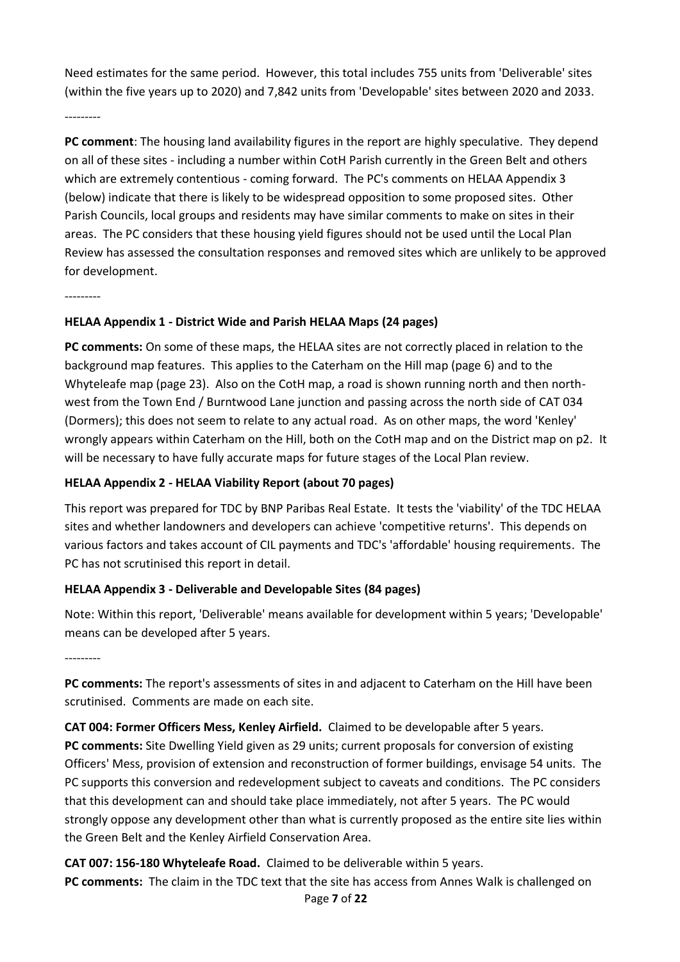Need estimates for the same period. However, this total includes 755 units from 'Deliverable' sites (within the five years up to 2020) and 7,842 units from 'Developable' sites between 2020 and 2033.

---------

**PC comment**: The housing land availability figures in the report are highly speculative. They depend on all of these sites - including a number within CotH Parish currently in the Green Belt and others which are extremely contentious - coming forward. The PC's comments on HELAA Appendix 3 (below) indicate that there is likely to be widespread opposition to some proposed sites. Other Parish Councils, local groups and residents may have similar comments to make on sites in their areas. The PC considers that these housing yield figures should not be used until the Local Plan Review has assessed the consultation responses and removed sites which are unlikely to be approved for development.

---------

#### **HELAA Appendix 1 - District Wide and Parish HELAA Maps (24 pages)**

**PC comments:** On some of these maps, the HELAA sites are not correctly placed in relation to the background map features. This applies to the Caterham on the Hill map (page 6) and to the Whyteleafe map (page 23). Also on the CotH map, a road is shown running north and then northwest from the Town End / Burntwood Lane junction and passing across the north side of CAT 034 (Dormers); this does not seem to relate to any actual road. As on other maps, the word 'Kenley' wrongly appears within Caterham on the Hill, both on the CotH map and on the District map on p2. It will be necessary to have fully accurate maps for future stages of the Local Plan review.

#### **HELAA Appendix 2 - HELAA Viability Report (about 70 pages)**

This report was prepared for TDC by BNP Paribas Real Estate. It tests the 'viability' of the TDC HELAA sites and whether landowners and developers can achieve 'competitive returns'. This depends on various factors and takes account of CIL payments and TDC's 'affordable' housing requirements. The PC has not scrutinised this report in detail.

### **HELAA Appendix 3 - Deliverable and Developable Sites (84 pages)**

Note: Within this report, 'Deliverable' means available for development within 5 years; 'Developable' means can be developed after 5 years.

---------

**PC comments:** The report's assessments of sites in and adjacent to Caterham on the Hill have been scrutinised. Comments are made on each site.

**CAT 004: Former Officers Mess, Kenley Airfield.** Claimed to be developable after 5 years. **PC comments:** Site Dwelling Yield given as 29 units; current proposals for conversion of existing Officers' Mess, provision of extension and reconstruction of former buildings, envisage 54 units. The PC supports this conversion and redevelopment subject to caveats and conditions. The PC considers that this development can and should take place immediately, not after 5 years. The PC would strongly oppose any development other than what is currently proposed as the entire site lies within the Green Belt and the Kenley Airfield Conservation Area.

**CAT 007: 156-180 Whyteleafe Road.** Claimed to be deliverable within 5 years. **PC comments:** The claim in the TDC text that the site has access from Annes Walk is challenged on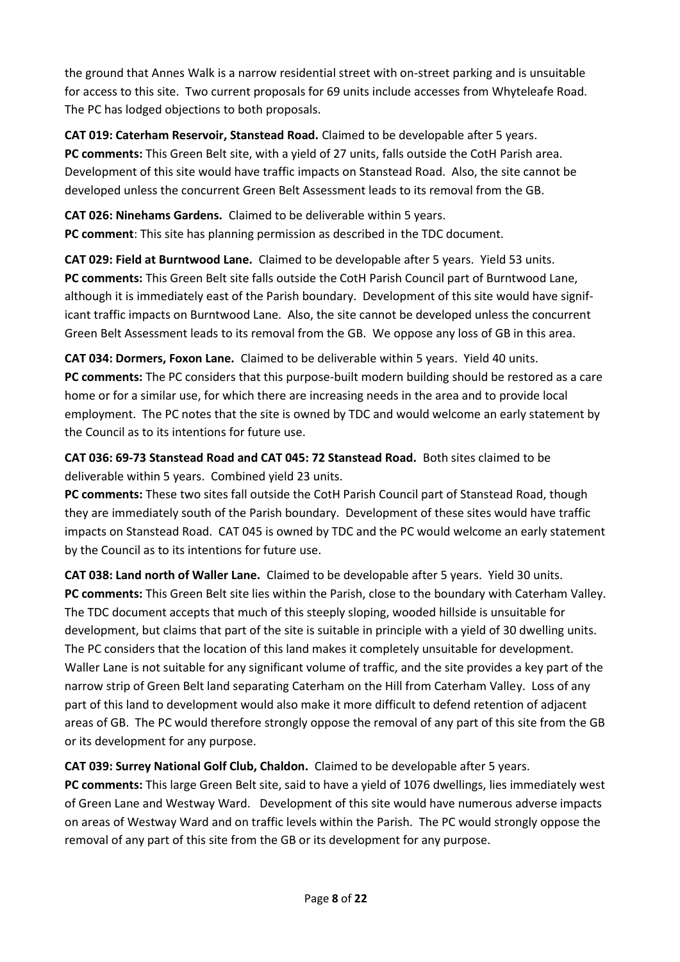the ground that Annes Walk is a narrow residential street with on-street parking and is unsuitable for access to this site. Two current proposals for 69 units include accesses from Whyteleafe Road. The PC has lodged objections to both proposals.

**CAT 019: Caterham Reservoir, Stanstead Road.** Claimed to be developable after 5 years. **PC comments:** This Green Belt site, with a yield of 27 units, falls outside the CotH Parish area. Development of this site would have traffic impacts on Stanstead Road. Also, the site cannot be developed unless the concurrent Green Belt Assessment leads to its removal from the GB.

**CAT 026: Ninehams Gardens.** Claimed to be deliverable within 5 years. **PC comment**: This site has planning permission as described in the TDC document.

**CAT 029: Field at Burntwood Lane.** Claimed to be developable after 5 years. Yield 53 units. **PC comments:** This Green Belt site falls outside the CotH Parish Council part of Burntwood Lane, although it is immediately east of the Parish boundary. Development of this site would have significant traffic impacts on Burntwood Lane. Also, the site cannot be developed unless the concurrent Green Belt Assessment leads to its removal from the GB. We oppose any loss of GB in this area.

**CAT 034: Dormers, Foxon Lane.** Claimed to be deliverable within 5 years. Yield 40 units. **PC comments:** The PC considers that this purpose-built modern building should be restored as a care home or for a similar use, for which there are increasing needs in the area and to provide local employment. The PC notes that the site is owned by TDC and would welcome an early statement by the Council as to its intentions for future use.

**CAT 036: 69-73 Stanstead Road and CAT 045: 72 Stanstead Road.** Both sites claimed to be deliverable within 5 years. Combined yield 23 units.

**PC comments:** These two sites fall outside the CotH Parish Council part of Stanstead Road, though they are immediately south of the Parish boundary. Development of these sites would have traffic impacts on Stanstead Road. CAT 045 is owned by TDC and the PC would welcome an early statement by the Council as to its intentions for future use.

**CAT 038: Land north of Waller Lane.** Claimed to be developable after 5 years. Yield 30 units. **PC comments:** This Green Belt site lies within the Parish, close to the boundary with Caterham Valley. The TDC document accepts that much of this steeply sloping, wooded hillside is unsuitable for development, but claims that part of the site is suitable in principle with a yield of 30 dwelling units. The PC considers that the location of this land makes it completely unsuitable for development. Waller Lane is not suitable for any significant volume of traffic, and the site provides a key part of the narrow strip of Green Belt land separating Caterham on the Hill from Caterham Valley. Loss of any part of this land to development would also make it more difficult to defend retention of adjacent areas of GB. The PC would therefore strongly oppose the removal of any part of this site from the GB or its development for any purpose.

**CAT 039: Surrey National Golf Club, Chaldon.** Claimed to be developable after 5 years.

**PC comments:** This large Green Belt site, said to have a yield of 1076 dwellings, lies immediately west of Green Lane and Westway Ward. Development of this site would have numerous adverse impacts on areas of Westway Ward and on traffic levels within the Parish. The PC would strongly oppose the removal of any part of this site from the GB or its development for any purpose.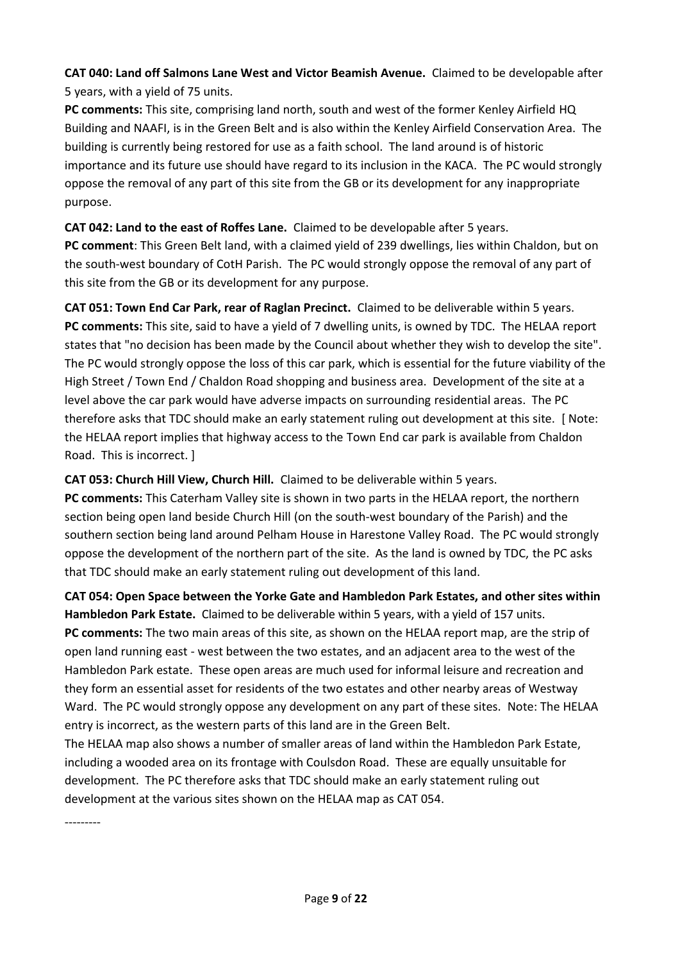**CAT 040: Land off Salmons Lane West and Victor Beamish Avenue.** Claimed to be developable after 5 years, with a yield of 75 units.

**PC comments:** This site, comprising land north, south and west of the former Kenley Airfield HQ Building and NAAFI, is in the Green Belt and is also within the Kenley Airfield Conservation Area. The building is currently being restored for use as a faith school. The land around is of historic importance and its future use should have regard to its inclusion in the KACA. The PC would strongly oppose the removal of any part of this site from the GB or its development for any inappropriate purpose.

**CAT 042: Land to the east of Roffes Lane.** Claimed to be developable after 5 years. **PC comment**: This Green Belt land, with a claimed yield of 239 dwellings, lies within Chaldon, but on the south-west boundary of CotH Parish. The PC would strongly oppose the removal of any part of this site from the GB or its development for any purpose.

**CAT 051: Town End Car Park, rear of Raglan Precinct.** Claimed to be deliverable within 5 years. **PC comments:** This site, said to have a yield of 7 dwelling units, is owned by TDC. The HELAA report states that "no decision has been made by the Council about whether they wish to develop the site". The PC would strongly oppose the loss of this car park, which is essential for the future viability of the High Street / Town End / Chaldon Road shopping and business area. Development of the site at a level above the car park would have adverse impacts on surrounding residential areas. The PC therefore asks that TDC should make an early statement ruling out development at this site. [ Note: the HELAA report implies that highway access to the Town End car park is available from Chaldon Road. This is incorrect. ]

**CAT 053: Church Hill View, Church Hill.** Claimed to be deliverable within 5 years. **PC comments:** This Caterham Valley site is shown in two parts in the HELAA report, the northern section being open land beside Church Hill (on the south-west boundary of the Parish) and the southern section being land around Pelham House in Harestone Valley Road. The PC would strongly oppose the development of the northern part of the site. As the land is owned by TDC, the PC asks that TDC should make an early statement ruling out development of this land.

**CAT 054: Open Space between the Yorke Gate and Hambledon Park Estates, and other sites within Hambledon Park Estate.** Claimed to be deliverable within 5 years, with a yield of 157 units. **PC comments:** The two main areas of this site, as shown on the HELAA report map, are the strip of open land running east - west between the two estates, and an adjacent area to the west of the Hambledon Park estate. These open areas are much used for informal leisure and recreation and they form an essential asset for residents of the two estates and other nearby areas of Westway Ward. The PC would strongly oppose any development on any part of these sites. Note: The HELAA entry is incorrect, as the western parts of this land are in the Green Belt.

The HELAA map also shows a number of smaller areas of land within the Hambledon Park Estate, including a wooded area on its frontage with Coulsdon Road. These are equally unsuitable for development. The PC therefore asks that TDC should make an early statement ruling out development at the various sites shown on the HELAA map as CAT 054.

---------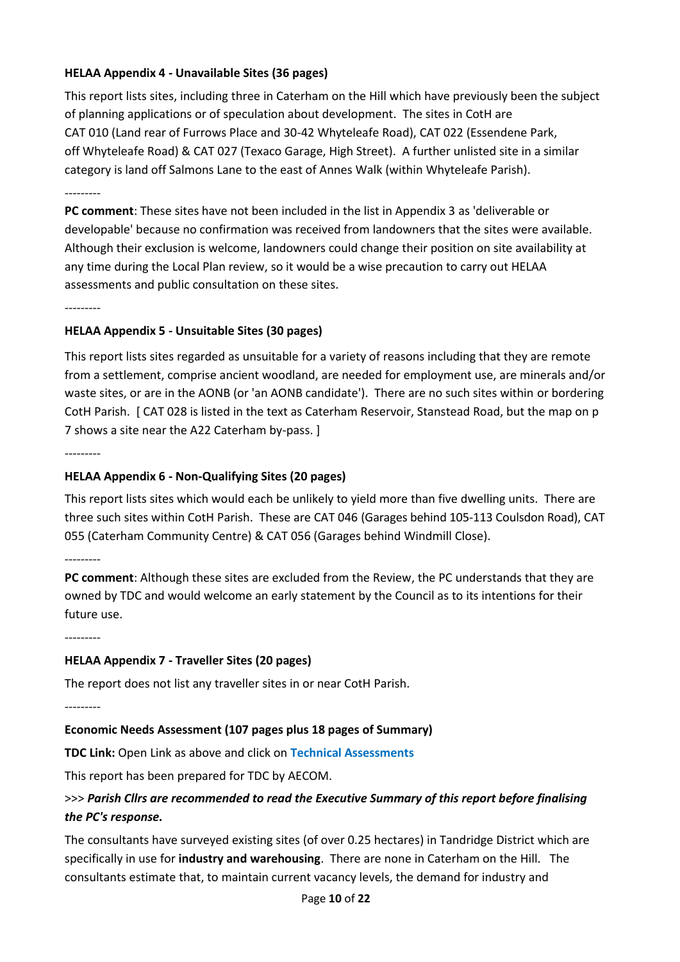### **HELAA Appendix 4 - Unavailable Sites (36 pages)**

This report lists sites, including three in Caterham on the Hill which have previously been the subject of planning applications or of speculation about development. The sites in CotH are CAT 010 (Land rear of Furrows Place and 30-42 Whyteleafe Road), CAT 022 (Essendene Park, off Whyteleafe Road) & CAT 027 (Texaco Garage, High Street). A further unlisted site in a similar category is land off Salmons Lane to the east of Annes Walk (within Whyteleafe Parish).

---------

**PC comment**: These sites have not been included in the list in Appendix 3 as 'deliverable or developable' because no confirmation was received from landowners that the sites were available. Although their exclusion is welcome, landowners could change their position on site availability at any time during the Local Plan review, so it would be a wise precaution to carry out HELAA assessments and public consultation on these sites.

---------

#### **HELAA Appendix 5 - Unsuitable Sites (30 pages)**

This report lists sites regarded as unsuitable for a variety of reasons including that they are remote from a settlement, comprise ancient woodland, are needed for employment use, are minerals and/or waste sites, or are in the AONB (or 'an AONB candidate'). There are no such sites within or bordering CotH Parish. [ CAT 028 is listed in the text as Caterham Reservoir, Stanstead Road, but the map on p 7 shows a site near the A22 Caterham by-pass. ]

---------

#### **HELAA Appendix 6 - Non-Qualifying Sites (20 pages)**

This report lists sites which would each be unlikely to yield more than five dwelling units. There are three such sites within CotH Parish. These are CAT 046 (Garages behind 105-113 Coulsdon Road), CAT 055 (Caterham Community Centre) & CAT 056 (Garages behind Windmill Close).

---------

**PC comment**: Although these sites are excluded from the Review, the PC understands that they are owned by TDC and would welcome an early statement by the Council as to its intentions for their future use.

---------

#### **HELAA Appendix 7 - Traveller Sites (20 pages)**

The report does not list any traveller sites in or near CotH Parish.

---------

#### **Economic Needs Assessment (107 pages plus 18 pages of Summary)**

**TDC Link:** Open Link as above and click on **Technical Assessments**

This report has been prepared for TDC by AECOM.

## >>> *Parish Cllrs are recommended to read the Executive Summary of this report before finalising the PC's response.*

The consultants have surveyed existing sites (of over 0.25 hectares) in Tandridge District which are specifically in use for **industry and warehousing**. There are none in Caterham on the Hill. The consultants estimate that, to maintain current vacancy levels, the demand for industry and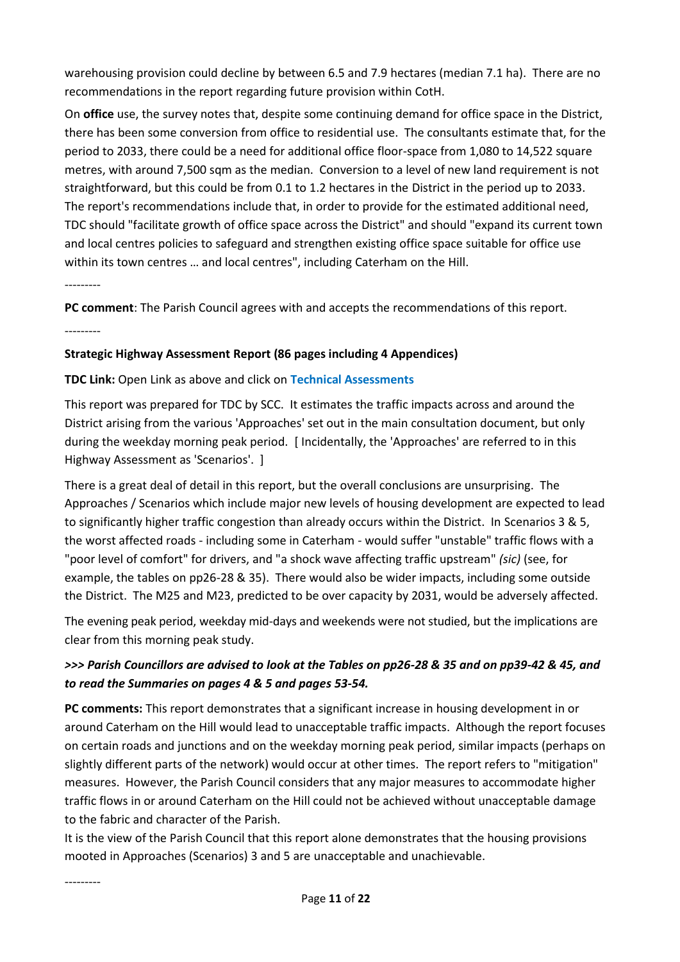warehousing provision could decline by between 6.5 and 7.9 hectares (median 7.1 ha). There are no recommendations in the report regarding future provision within CotH.

On **office** use, the survey notes that, despite some continuing demand for office space in the District, there has been some conversion from office to residential use. The consultants estimate that, for the period to 2033, there could be a need for additional office floor-space from 1,080 to 14,522 square metres, with around 7,500 sqm as the median. Conversion to a level of new land requirement is not straightforward, but this could be from 0.1 to 1.2 hectares in the District in the period up to 2033. The report's recommendations include that, in order to provide for the estimated additional need, TDC should "facilitate growth of office space across the District" and should "expand its current town and local centres policies to safeguard and strengthen existing office space suitable for office use within its town centres … and local centres", including Caterham on the Hill.

---------

**PC comment**: The Parish Council agrees with and accepts the recommendations of this report.

---------

#### **Strategic Highway Assessment Report (86 pages including 4 Appendices)**

#### **TDC Link:** Open Link as above and click on **Technical Assessments**

This report was prepared for TDC by SCC. It estimates the traffic impacts across and around the District arising from the various 'Approaches' set out in the main consultation document, but only during the weekday morning peak period. [ Incidentally, the 'Approaches' are referred to in this Highway Assessment as 'Scenarios'. ]

There is a great deal of detail in this report, but the overall conclusions are unsurprising. The Approaches / Scenarios which include major new levels of housing development are expected to lead to significantly higher traffic congestion than already occurs within the District. In Scenarios 3 & 5, the worst affected roads - including some in Caterham - would suffer "unstable" traffic flows with a "poor level of comfort" for drivers, and "a shock wave affecting traffic upstream" *(sic)* (see, for example, the tables on pp26-28 & 35). There would also be wider impacts, including some outside the District. The M25 and M23, predicted to be over capacity by 2031, would be adversely affected.

The evening peak period, weekday mid-days and weekends were not studied, but the implications are clear from this morning peak study.

## *>>> Parish Councillors are advised to look at the Tables on pp26-28 & 35 and on pp39-42 & 45, and to read the Summaries on pages 4 & 5 and pages 53-54.*

**PC comments:** This report demonstrates that a significant increase in housing development in or around Caterham on the Hill would lead to unacceptable traffic impacts. Although the report focuses on certain roads and junctions and on the weekday morning peak period, similar impacts (perhaps on slightly different parts of the network) would occur at other times. The report refers to "mitigation" measures. However, the Parish Council considers that any major measures to accommodate higher traffic flows in or around Caterham on the Hill could not be achieved without unacceptable damage to the fabric and character of the Parish.

It is the view of the Parish Council that this report alone demonstrates that the housing provisions mooted in Approaches (Scenarios) 3 and 5 are unacceptable and unachievable.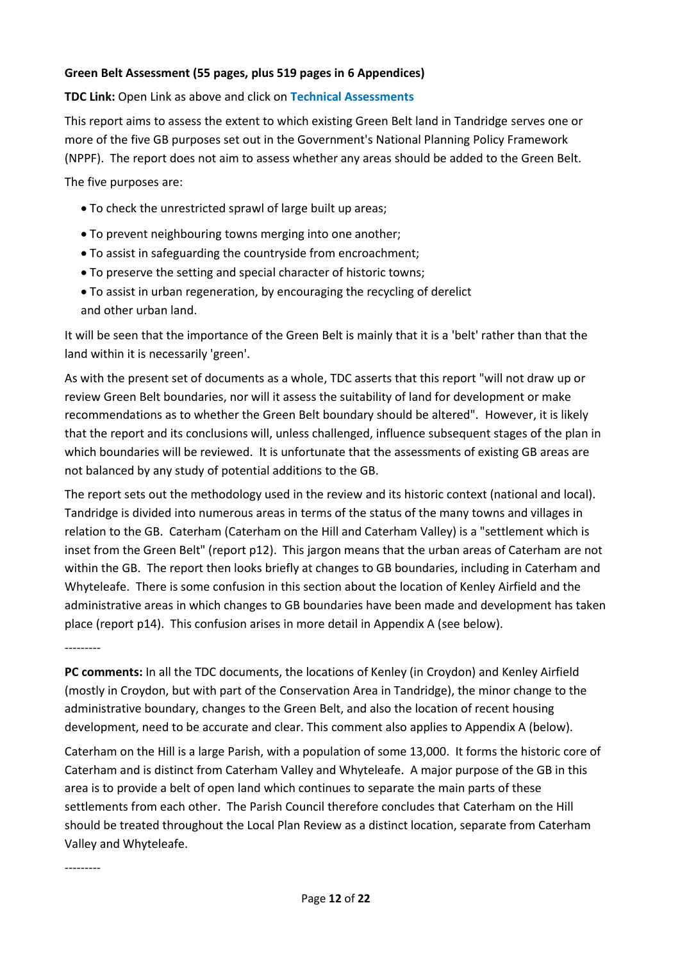#### **Green Belt Assessment (55 pages, plus 519 pages in 6 Appendices)**

#### **TDC Link:** Open Link as above and click on **Technical Assessments**

This report aims to assess the extent to which existing Green Belt land in Tandridge serves one or more of the five GB purposes set out in the Government's National Planning Policy Framework (NPPF). The report does not aim to assess whether any areas should be added to the Green Belt.

The five purposes are:

- To check the unrestricted sprawl of large built up areas;
- To prevent neighbouring towns merging into one another;
- To assist in safeguarding the countryside from encroachment;
- To preserve the setting and special character of historic towns;
- To assist in urban regeneration, by encouraging the recycling of derelict and other urban land.

It will be seen that the importance of the Green Belt is mainly that it is a 'belt' rather than that the land within it is necessarily 'green'.

As with the present set of documents as a whole, TDC asserts that this report "will not draw up or review Green Belt boundaries, nor will it assess the suitability of land for development or make recommendations as to whether the Green Belt boundary should be altered". However, it is likely that the report and its conclusions will, unless challenged, influence subsequent stages of the plan in which boundaries will be reviewed. It is unfortunate that the assessments of existing GB areas are not balanced by any study of potential additions to the GB.

The report sets out the methodology used in the review and its historic context (national and local). Tandridge is divided into numerous areas in terms of the status of the many towns and villages in relation to the GB. Caterham (Caterham on the Hill and Caterham Valley) is a "settlement which is inset from the Green Belt" (report p12). This jargon means that the urban areas of Caterham are not within the GB. The report then looks briefly at changes to GB boundaries, including in Caterham and Whyteleafe. There is some confusion in this section about the location of Kenley Airfield and the administrative areas in which changes to GB boundaries have been made and development has taken place (report p14). This confusion arises in more detail in Appendix A (see below).

---------

**PC comments:** In all the TDC documents, the locations of Kenley (in Croydon) and Kenley Airfield (mostly in Croydon, but with part of the Conservation Area in Tandridge), the minor change to the administrative boundary, changes to the Green Belt, and also the location of recent housing development, need to be accurate and clear. This comment also applies to Appendix A (below).

Caterham on the Hill is a large Parish, with a population of some 13,000. It forms the historic core of Caterham and is distinct from Caterham Valley and Whyteleafe. A major purpose of the GB in this area is to provide a belt of open land which continues to separate the main parts of these settlements from each other. The Parish Council therefore concludes that Caterham on the Hill should be treated throughout the Local Plan Review as a distinct location, separate from Caterham Valley and Whyteleafe.

---------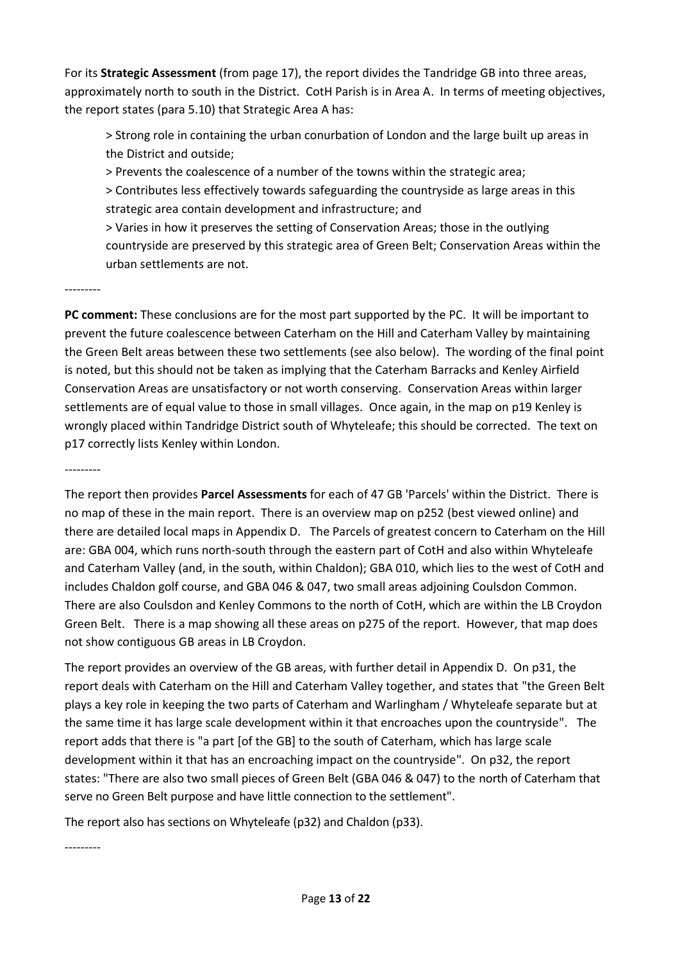For its **Strategic Assessment** (from page 17), the report divides the Tandridge GB into three areas, approximately north to south in the District. CotH Parish is in Area A. In terms of meeting objectives, the report states (para 5.10) that Strategic Area A has:

> Strong role in containing the urban conurbation of London and the large built up areas in the District and outside;

> Prevents the coalescence of a number of the towns within the strategic area;

> Contributes less effectively towards safeguarding the countryside as large areas in this strategic area contain development and infrastructure; and

> Varies in how it preserves the setting of Conservation Areas; those in the outlying countryside are preserved by this strategic area of Green Belt; Conservation Areas within the urban settlements are not.

#### ---------

**PC comment:** These conclusions are for the most part supported by the PC. It will be important to prevent the future coalescence between Caterham on the Hill and Caterham Valley by maintaining the Green Belt areas between these two settlements (see also below). The wording of the final point is noted, but this should not be taken as implying that the Caterham Barracks and Kenley Airfield Conservation Areas are unsatisfactory or not worth conserving. Conservation Areas within larger settlements are of equal value to those in small villages. Once again, in the map on p19 Kenley is wrongly placed within Tandridge District south of Whyteleafe; this should be corrected. The text on p17 correctly lists Kenley within London.

---------

The report then provides **Parcel Assessments** for each of 47 GB 'Parcels' within the District. There is no map of these in the main report. There is an overview map on p252 (best viewed online) and there are detailed local maps in Appendix D. The Parcels of greatest concern to Caterham on the Hill are: GBA 004, which runs north-south through the eastern part of CotH and also within Whyteleafe and Caterham Valley (and, in the south, within Chaldon); GBA 010, which lies to the west of CotH and includes Chaldon golf course, and GBA 046 & 047, two small areas adjoining Coulsdon Common. There are also Coulsdon and Kenley Commons to the north of CotH, which are within the LB Croydon Green Belt. There is a map showing all these areas on p275 of the report. However, that map does not show contiguous GB areas in LB Croydon.

The report provides an overview of the GB areas, with further detail in Appendix D. On p31, the report deals with Caterham on the Hill and Caterham Valley together, and states that "the Green Belt plays a key role in keeping the two parts of Caterham and Warlingham / Whyteleafe separate but at the same time it has large scale development within it that encroaches upon the countryside". The report adds that there is "a part [of the GB] to the south of Caterham, which has large scale development within it that has an encroaching impact on the countryside". On p32, the report states: "There are also two small pieces of Green Belt (GBA 046 & 047) to the north of Caterham that serve no Green Belt purpose and have little connection to the settlement".

The report also has sections on Whyteleafe (p32) and Chaldon (p33).

#### ---------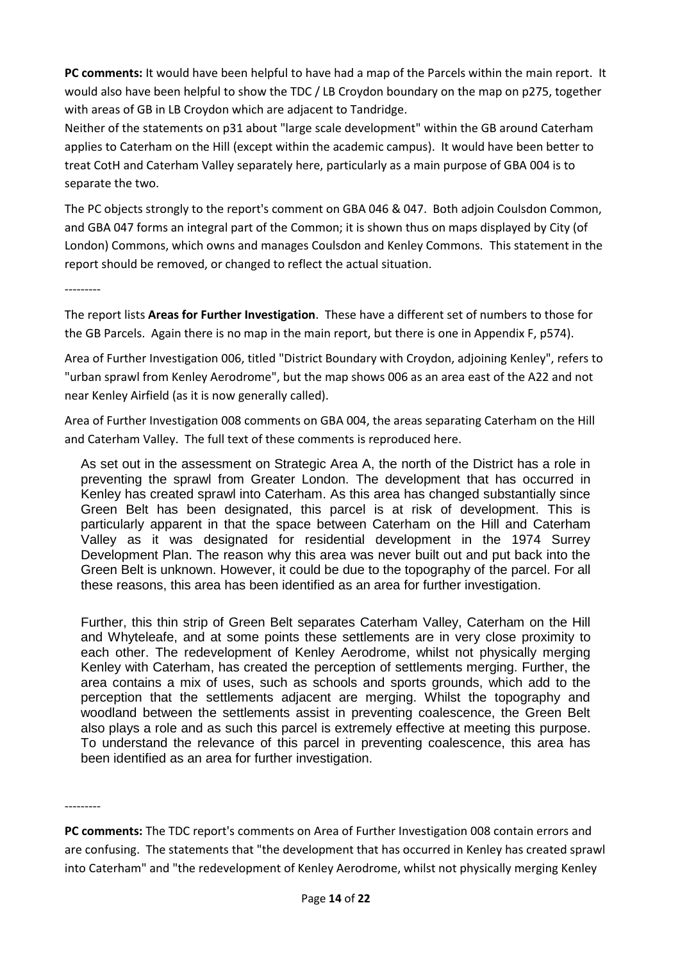**PC comments:** It would have been helpful to have had a map of the Parcels within the main report. It would also have been helpful to show the TDC / LB Croydon boundary on the map on p275, together with areas of GB in LB Croydon which are adjacent to Tandridge.

Neither of the statements on p31 about "large scale development" within the GB around Caterham applies to Caterham on the Hill (except within the academic campus). It would have been better to treat CotH and Caterham Valley separately here, particularly as a main purpose of GBA 004 is to separate the two.

The PC objects strongly to the report's comment on GBA 046 & 047. Both adjoin Coulsdon Common, and GBA 047 forms an integral part of the Common; it is shown thus on maps displayed by City (of London) Commons, which owns and manages Coulsdon and Kenley Commons. This statement in the report should be removed, or changed to reflect the actual situation.

---------

The report lists **Areas for Further Investigation**. These have a different set of numbers to those for the GB Parcels. Again there is no map in the main report, but there is one in Appendix F, p574).

Area of Further Investigation 006, titled "District Boundary with Croydon, adjoining Kenley", refers to "urban sprawl from Kenley Aerodrome", but the map shows 006 as an area east of the A22 and not near Kenley Airfield (as it is now generally called).

Area of Further Investigation 008 comments on GBA 004, the areas separating Caterham on the Hill and Caterham Valley. The full text of these comments is reproduced here.

As set out in the assessment on Strategic Area A, the north of the District has a role in preventing the sprawl from Greater London. The development that has occurred in Kenley has created sprawl into Caterham. As this area has changed substantially since Green Belt has been designated, this parcel is at risk of development. This is particularly apparent in that the space between Caterham on the Hill and Caterham Valley as it was designated for residential development in the 1974 Surrey Development Plan. The reason why this area was never built out and put back into the Green Belt is unknown. However, it could be due to the topography of the parcel. For all these reasons, this area has been identified as an area for further investigation.

Further, this thin strip of Green Belt separates Caterham Valley, Caterham on the Hill and Whyteleafe, and at some points these settlements are in very close proximity to each other. The redevelopment of Kenley Aerodrome, whilst not physically merging Kenley with Caterham, has created the perception of settlements merging. Further, the area contains a mix of uses, such as schools and sports grounds, which add to the perception that the settlements adjacent are merging. Whilst the topography and woodland between the settlements assist in preventing coalescence, the Green Belt also plays a role and as such this parcel is extremely effective at meeting this purpose. To understand the relevance of this parcel in preventing coalescence, this area has been identified as an area for further investigation.

---------

**PC comments:** The TDC report's comments on Area of Further Investigation 008 contain errors and are confusing. The statements that "the development that has occurred in Kenley has created sprawl into Caterham" and "the redevelopment of Kenley Aerodrome, whilst not physically merging Kenley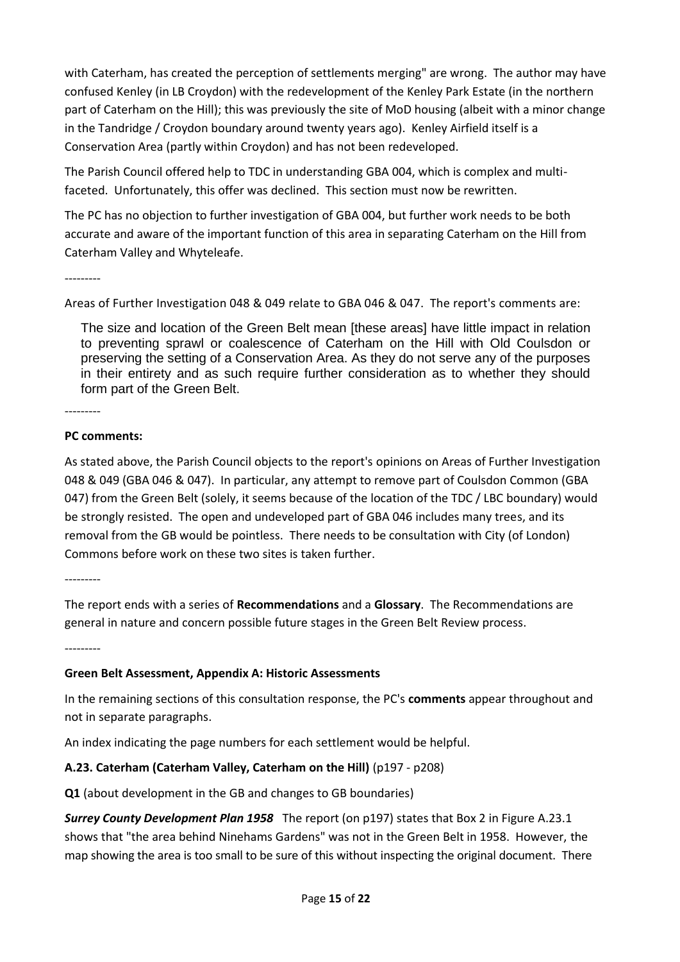with Caterham, has created the perception of settlements merging" are wrong. The author may have confused Kenley (in LB Croydon) with the redevelopment of the Kenley Park Estate (in the northern part of Caterham on the Hill); this was previously the site of MoD housing (albeit with a minor change in the Tandridge / Croydon boundary around twenty years ago). Kenley Airfield itself is a Conservation Area (partly within Croydon) and has not been redeveloped.

The Parish Council offered help to TDC in understanding GBA 004, which is complex and multifaceted. Unfortunately, this offer was declined. This section must now be rewritten.

The PC has no objection to further investigation of GBA 004, but further work needs to be both accurate and aware of the important function of this area in separating Caterham on the Hill from Caterham Valley and Whyteleafe.

---------

Areas of Further Investigation 048 & 049 relate to GBA 046 & 047. The report's comments are:

The size and location of the Green Belt mean [these areas] have little impact in relation to preventing sprawl or coalescence of Caterham on the Hill with Old Coulsdon or preserving the setting of a Conservation Area. As they do not serve any of the purposes in their entirety and as such require further consideration as to whether they should form part of the Green Belt.

---------

#### **PC comments:**

As stated above, the Parish Council objects to the report's opinions on Areas of Further Investigation 048 & 049 (GBA 046 & 047). In particular, any attempt to remove part of Coulsdon Common (GBA 047) from the Green Belt (solely, it seems because of the location of the TDC / LBC boundary) would be strongly resisted. The open and undeveloped part of GBA 046 includes many trees, and its removal from the GB would be pointless. There needs to be consultation with City (of London) Commons before work on these two sites is taken further.

---------

The report ends with a series of **Recommendations** and a **Glossary**. The Recommendations are general in nature and concern possible future stages in the Green Belt Review process.

---------

#### **Green Belt Assessment, Appendix A: Historic Assessments**

In the remaining sections of this consultation response, the PC's **comments** appear throughout and not in separate paragraphs.

An index indicating the page numbers for each settlement would be helpful.

### **A.23. Caterham (Caterham Valley, Caterham on the Hill)** (p197 - p208)

**Q1** (about development in the GB and changes to GB boundaries)

*Surrey County Development Plan 1958* The report (on p197) states that Box 2 in Figure A.23.1 shows that "the area behind Ninehams Gardens" was not in the Green Belt in 1958. However, the map showing the area is too small to be sure of this without inspecting the original document. There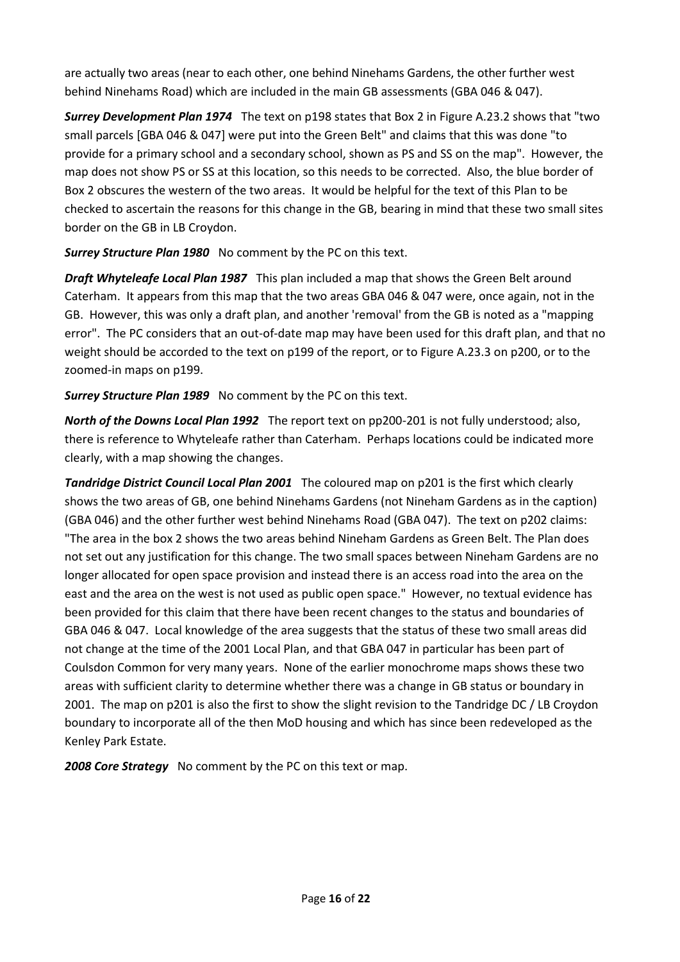are actually two areas (near to each other, one behind Ninehams Gardens, the other further west behind Ninehams Road) which are included in the main GB assessments (GBA 046 & 047).

*Surrey Development Plan 1974* The text on p198 states that Box 2 in Figure A.23.2 shows that "two small parcels [GBA 046 & 047] were put into the Green Belt" and claims that this was done "to provide for a primary school and a secondary school, shown as PS and SS on the map". However, the map does not show PS or SS at this location, so this needs to be corrected. Also, the blue border of Box 2 obscures the western of the two areas. It would be helpful for the text of this Plan to be checked to ascertain the reasons for this change in the GB, bearing in mind that these two small sites border on the GB in LB Croydon.

*Surrey Structure Plan 1980* No comment by the PC on this text.

*Draft Whyteleafe Local Plan 1987* This plan included a map that shows the Green Belt around Caterham. It appears from this map that the two areas GBA 046 & 047 were, once again, not in the GB. However, this was only a draft plan, and another 'removal' from the GB is noted as a "mapping error". The PC considers that an out-of-date map may have been used for this draft plan, and that no weight should be accorded to the text on p199 of the report, or to Figure A.23.3 on p200, or to the zoomed-in maps on p199.

*Surrey Structure Plan 1989* No comment by the PC on this text.

*North of the Downs Local Plan 1992* The report text on pp200-201 is not fully understood; also, there is reference to Whyteleafe rather than Caterham. Perhaps locations could be indicated more clearly, with a map showing the changes.

*Tandridge District Council Local Plan 2001* The coloured map on p201 is the first which clearly shows the two areas of GB, one behind Ninehams Gardens (not Nineham Gardens as in the caption) (GBA 046) and the other further west behind Ninehams Road (GBA 047). The text on p202 claims: "The area in the box 2 shows the two areas behind Nineham Gardens as Green Belt. The Plan does not set out any justification for this change. The two small spaces between Nineham Gardens are no longer allocated for open space provision and instead there is an access road into the area on the east and the area on the west is not used as public open space." However, no textual evidence has been provided for this claim that there have been recent changes to the status and boundaries of GBA 046 & 047. Local knowledge of the area suggests that the status of these two small areas did not change at the time of the 2001 Local Plan, and that GBA 047 in particular has been part of Coulsdon Common for very many years. None of the earlier monochrome maps shows these two areas with sufficient clarity to determine whether there was a change in GB status or boundary in 2001. The map on p201 is also the first to show the slight revision to the Tandridge DC / LB Croydon boundary to incorporate all of the then MoD housing and which has since been redeveloped as the Kenley Park Estate.

*2008 Core Strategy* No comment by the PC on this text or map.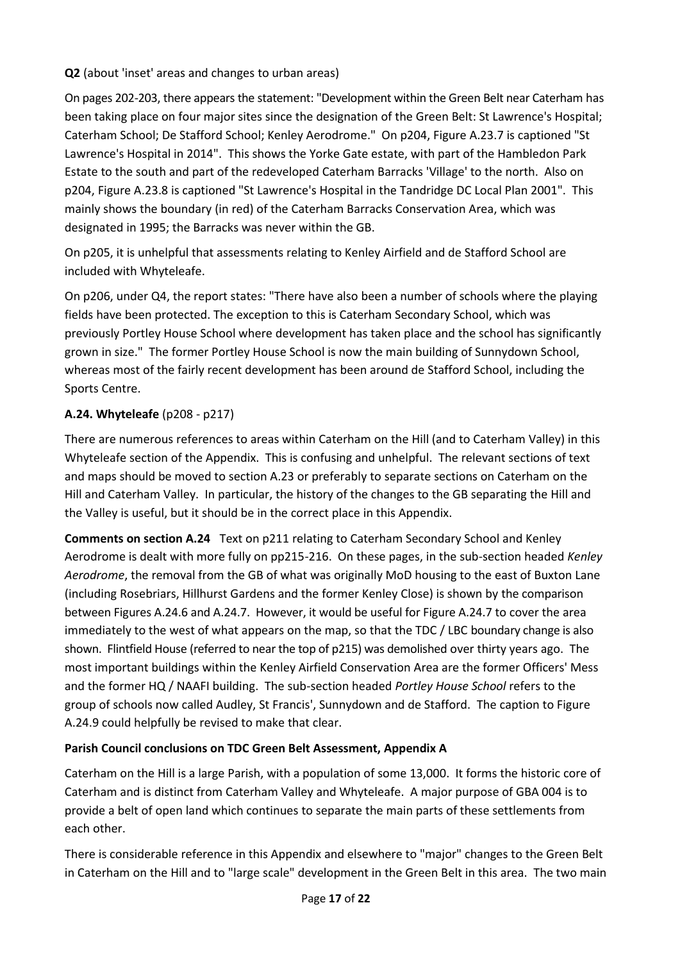**Q2** (about 'inset' areas and changes to urban areas)

On pages 202-203, there appears the statement: "Development within the Green Belt near Caterham has been taking place on four major sites since the designation of the Green Belt: St Lawrence's Hospital; Caterham School; De Stafford School; Kenley Aerodrome." On p204, Figure A.23.7 is captioned "St Lawrence's Hospital in 2014". This shows the Yorke Gate estate, with part of the Hambledon Park Estate to the south and part of the redeveloped Caterham Barracks 'Village' to the north. Also on p204, Figure A.23.8 is captioned "St Lawrence's Hospital in the Tandridge DC Local Plan 2001". This mainly shows the boundary (in red) of the Caterham Barracks Conservation Area, which was designated in 1995; the Barracks was never within the GB.

On p205, it is unhelpful that assessments relating to Kenley Airfield and de Stafford School are included with Whyteleafe.

On p206, under Q4, the report states: "There have also been a number of schools where the playing fields have been protected. The exception to this is Caterham Secondary School, which was previously Portley House School where development has taken place and the school has significantly grown in size." The former Portley House School is now the main building of Sunnydown School, whereas most of the fairly recent development has been around de Stafford School, including the Sports Centre.

## **A.24. Whyteleafe** (p208 - p217)

There are numerous references to areas within Caterham on the Hill (and to Caterham Valley) in this Whyteleafe section of the Appendix. This is confusing and unhelpful. The relevant sections of text and maps should be moved to section A.23 or preferably to separate sections on Caterham on the Hill and Caterham Valley. In particular, the history of the changes to the GB separating the Hill and the Valley is useful, but it should be in the correct place in this Appendix.

**Comments on section A.24** Text on p211 relating to Caterham Secondary School and Kenley Aerodrome is dealt with more fully on pp215-216. On these pages, in the sub-section headed *Kenley Aerodrome*, the removal from the GB of what was originally MoD housing to the east of Buxton Lane (including Rosebriars, Hillhurst Gardens and the former Kenley Close) is shown by the comparison between Figures A.24.6 and A.24.7. However, it would be useful for Figure A.24.7 to cover the area immediately to the west of what appears on the map, so that the TDC / LBC boundary change is also shown. Flintfield House (referred to near the top of p215) was demolished over thirty years ago. The most important buildings within the Kenley Airfield Conservation Area are the former Officers' Mess and the former HQ / NAAFI building. The sub-section headed *Portley House School* refers to the group of schools now called Audley, St Francis', Sunnydown and de Stafford. The caption to Figure A.24.9 could helpfully be revised to make that clear.

### **Parish Council conclusions on TDC Green Belt Assessment, Appendix A**

Caterham on the Hill is a large Parish, with a population of some 13,000. It forms the historic core of Caterham and is distinct from Caterham Valley and Whyteleafe. A major purpose of GBA 004 is to provide a belt of open land which continues to separate the main parts of these settlements from each other.

There is considerable reference in this Appendix and elsewhere to "major" changes to the Green Belt in Caterham on the Hill and to "large scale" development in the Green Belt in this area. The two main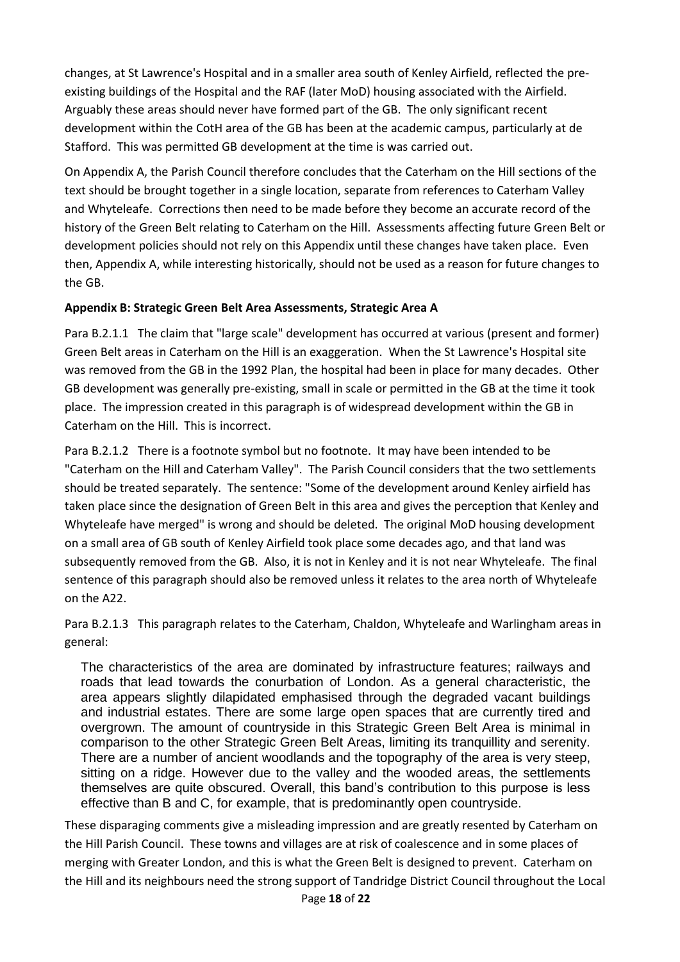changes, at St Lawrence's Hospital and in a smaller area south of Kenley Airfield, reflected the preexisting buildings of the Hospital and the RAF (later MoD) housing associated with the Airfield. Arguably these areas should never have formed part of the GB. The only significant recent development within the CotH area of the GB has been at the academic campus, particularly at de Stafford. This was permitted GB development at the time is was carried out.

On Appendix A, the Parish Council therefore concludes that the Caterham on the Hill sections of the text should be brought together in a single location, separate from references to Caterham Valley and Whyteleafe. Corrections then need to be made before they become an accurate record of the history of the Green Belt relating to Caterham on the Hill. Assessments affecting future Green Belt or development policies should not rely on this Appendix until these changes have taken place. Even then, Appendix A, while interesting historically, should not be used as a reason for future changes to the GB.

### **Appendix B: Strategic Green Belt Area Assessments, Strategic Area A**

Para B.2.1.1 The claim that "large scale" development has occurred at various (present and former) Green Belt areas in Caterham on the Hill is an exaggeration. When the St Lawrence's Hospital site was removed from the GB in the 1992 Plan, the hospital had been in place for many decades. Other GB development was generally pre-existing, small in scale or permitted in the GB at the time it took place. The impression created in this paragraph is of widespread development within the GB in Caterham on the Hill. This is incorrect.

Para B.2.1.2 There is a footnote symbol but no footnote. It may have been intended to be "Caterham on the Hill and Caterham Valley". The Parish Council considers that the two settlements should be treated separately. The sentence: "Some of the development around Kenley airfield has taken place since the designation of Green Belt in this area and gives the perception that Kenley and Whyteleafe have merged" is wrong and should be deleted. The original MoD housing development on a small area of GB south of Kenley Airfield took place some decades ago, and that land was subsequently removed from the GB. Also, it is not in Kenley and it is not near Whyteleafe. The final sentence of this paragraph should also be removed unless it relates to the area north of Whyteleafe on the A22.

Para B.2.1.3 This paragraph relates to the Caterham, Chaldon, Whyteleafe and Warlingham areas in general:

The characteristics of the area are dominated by infrastructure features; railways and roads that lead towards the conurbation of London. As a general characteristic, the area appears slightly dilapidated emphasised through the degraded vacant buildings and industrial estates. There are some large open spaces that are currently tired and overgrown. The amount of countryside in this Strategic Green Belt Area is minimal in comparison to the other Strategic Green Belt Areas, limiting its tranquillity and serenity. There are a number of ancient woodlands and the topography of the area is very steep, sitting on a ridge. However due to the valley and the wooded areas, the settlements themselves are quite obscured. Overall, this band's contribution to this purpose is less effective than B and C, for example, that is predominantly open countryside.

These disparaging comments give a misleading impression and are greatly resented by Caterham on the Hill Parish Council. These towns and villages are at risk of coalescence and in some places of merging with Greater London, and this is what the Green Belt is designed to prevent. Caterham on the Hill and its neighbours need the strong support of Tandridge District Council throughout the Local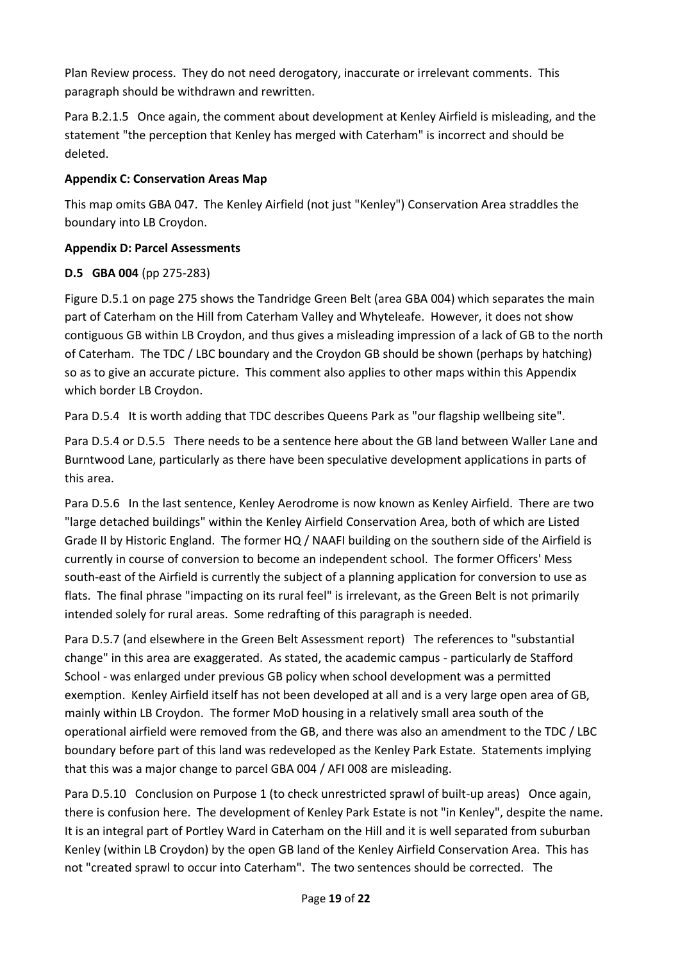Plan Review process. They do not need derogatory, inaccurate or irrelevant comments. This paragraph should be withdrawn and rewritten.

Para B.2.1.5 Once again, the comment about development at Kenley Airfield is misleading, and the statement "the perception that Kenley has merged with Caterham" is incorrect and should be deleted.

### **Appendix C: Conservation Areas Map**

This map omits GBA 047. The Kenley Airfield (not just "Kenley") Conservation Area straddles the boundary into LB Croydon.

### **Appendix D: Parcel Assessments**

### **D.5 GBA 004** (pp 275-283)

Figure D.5.1 on page 275 shows the Tandridge Green Belt (area GBA 004) which separates the main part of Caterham on the Hill from Caterham Valley and Whyteleafe. However, it does not show contiguous GB within LB Croydon, and thus gives a misleading impression of a lack of GB to the north of Caterham. The TDC / LBC boundary and the Croydon GB should be shown (perhaps by hatching) so as to give an accurate picture. This comment also applies to other maps within this Appendix which border LB Croydon.

Para D.5.4 It is worth adding that TDC describes Queens Park as "our flagship wellbeing site".

Para D.5.4 or D.5.5 There needs to be a sentence here about the GB land between Waller Lane and Burntwood Lane, particularly as there have been speculative development applications in parts of this area.

Para D.5.6 In the last sentence, Kenley Aerodrome is now known as Kenley Airfield. There are two "large detached buildings" within the Kenley Airfield Conservation Area, both of which are Listed Grade II by Historic England. The former HQ / NAAFI building on the southern side of the Airfield is currently in course of conversion to become an independent school. The former Officers' Mess south-east of the Airfield is currently the subject of a planning application for conversion to use as flats. The final phrase "impacting on its rural feel" is irrelevant, as the Green Belt is not primarily intended solely for rural areas. Some redrafting of this paragraph is needed.

Para D.5.7 (and elsewhere in the Green Belt Assessment report) The references to "substantial change" in this area are exaggerated. As stated, the academic campus - particularly de Stafford School - was enlarged under previous GB policy when school development was a permitted exemption. Kenley Airfield itself has not been developed at all and is a very large open area of GB, mainly within LB Croydon. The former MoD housing in a relatively small area south of the operational airfield were removed from the GB, and there was also an amendment to the TDC / LBC boundary before part of this land was redeveloped as the Kenley Park Estate. Statements implying that this was a major change to parcel GBA 004 / AFI 008 are misleading.

Para D.5.10 Conclusion on Purpose 1 (to check unrestricted sprawl of built-up areas) Once again, there is confusion here. The development of Kenley Park Estate is not "in Kenley", despite the name. It is an integral part of Portley Ward in Caterham on the Hill and it is well separated from suburban Kenley (within LB Croydon) by the open GB land of the Kenley Airfield Conservation Area. This has not "created sprawl to occur into Caterham". The two sentences should be corrected. The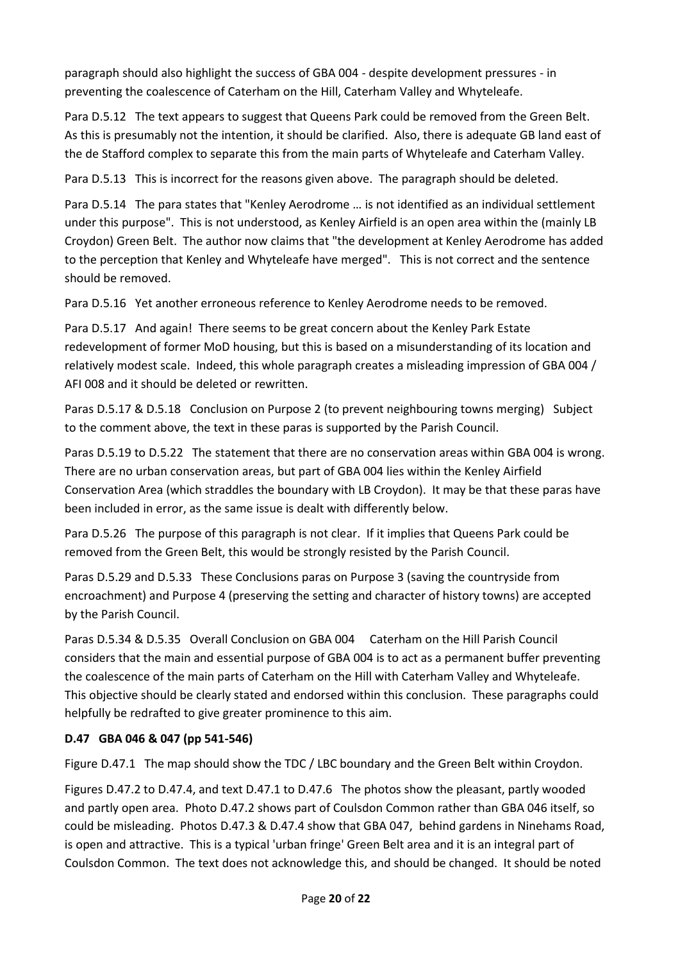paragraph should also highlight the success of GBA 004 - despite development pressures - in preventing the coalescence of Caterham on the Hill, Caterham Valley and Whyteleafe.

Para D.5.12 The text appears to suggest that Queens Park could be removed from the Green Belt. As this is presumably not the intention, it should be clarified. Also, there is adequate GB land east of the de Stafford complex to separate this from the main parts of Whyteleafe and Caterham Valley.

Para D.5.13 This is incorrect for the reasons given above. The paragraph should be deleted.

Para D.5.14 The para states that "Kenley Aerodrome … is not identified as an individual settlement under this purpose". This is not understood, as Kenley Airfield is an open area within the (mainly LB Croydon) Green Belt. The author now claims that "the development at Kenley Aerodrome has added to the perception that Kenley and Whyteleafe have merged". This is not correct and the sentence should be removed.

Para D.5.16 Yet another erroneous reference to Kenley Aerodrome needs to be removed.

Para D.5.17 And again! There seems to be great concern about the Kenley Park Estate redevelopment of former MoD housing, but this is based on a misunderstanding of its location and relatively modest scale. Indeed, this whole paragraph creates a misleading impression of GBA 004 / AFI 008 and it should be deleted or rewritten.

Paras D.5.17 & D.5.18 Conclusion on Purpose 2 (to prevent neighbouring towns merging) Subject to the comment above, the text in these paras is supported by the Parish Council.

Paras D.5.19 to D.5.22 The statement that there are no conservation areas within GBA 004 is wrong. There are no urban conservation areas, but part of GBA 004 lies within the Kenley Airfield Conservation Area (which straddles the boundary with LB Croydon). It may be that these paras have been included in error, as the same issue is dealt with differently below.

Para D.5.26 The purpose of this paragraph is not clear. If it implies that Queens Park could be removed from the Green Belt, this would be strongly resisted by the Parish Council.

Paras D.5.29 and D.5.33 These Conclusions paras on Purpose 3 (saving the countryside from encroachment) and Purpose 4 (preserving the setting and character of history towns) are accepted by the Parish Council.

Paras D.5.34 & D.5.35 Overall Conclusion on GBA 004 Caterham on the Hill Parish Council considers that the main and essential purpose of GBA 004 is to act as a permanent buffer preventing the coalescence of the main parts of Caterham on the Hill with Caterham Valley and Whyteleafe. This objective should be clearly stated and endorsed within this conclusion. These paragraphs could helpfully be redrafted to give greater prominence to this aim.

### **D.47 GBA 046 & 047 (pp 541-546)**

Figure D.47.1 The map should show the TDC / LBC boundary and the Green Belt within Croydon.

Figures D.47.2 to D.47.4, and text D.47.1 to D.47.6 The photos show the pleasant, partly wooded and partly open area. Photo D.47.2 shows part of Coulsdon Common rather than GBA 046 itself, so could be misleading. Photos D.47.3 & D.47.4 show that GBA 047, behind gardens in Ninehams Road, is open and attractive. This is a typical 'urban fringe' Green Belt area and it is an integral part of Coulsdon Common. The text does not acknowledge this, and should be changed. It should be noted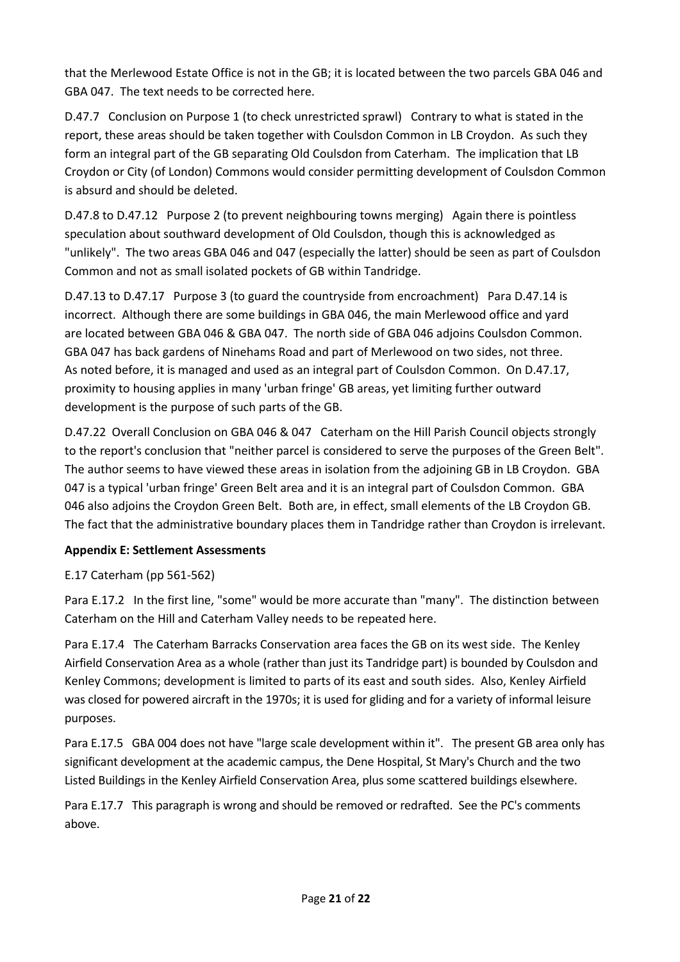that the Merlewood Estate Office is not in the GB; it is located between the two parcels GBA 046 and GBA 047. The text needs to be corrected here.

D.47.7 Conclusion on Purpose 1 (to check unrestricted sprawl) Contrary to what is stated in the report, these areas should be taken together with Coulsdon Common in LB Croydon. As such they form an integral part of the GB separating Old Coulsdon from Caterham. The implication that LB Croydon or City (of London) Commons would consider permitting development of Coulsdon Common is absurd and should be deleted.

D.47.8 to D.47.12 Purpose 2 (to prevent neighbouring towns merging) Again there is pointless speculation about southward development of Old Coulsdon, though this is acknowledged as "unlikely". The two areas GBA 046 and 047 (especially the latter) should be seen as part of Coulsdon Common and not as small isolated pockets of GB within Tandridge.

D.47.13 to D.47.17 Purpose 3 (to guard the countryside from encroachment) Para D.47.14 is incorrect. Although there are some buildings in GBA 046, the main Merlewood office and yard are located between GBA 046 & GBA 047. The north side of GBA 046 adjoins Coulsdon Common. GBA 047 has back gardens of Ninehams Road and part of Merlewood on two sides, not three. As noted before, it is managed and used as an integral part of Coulsdon Common. On D.47.17, proximity to housing applies in many 'urban fringe' GB areas, yet limiting further outward development is the purpose of such parts of the GB.

D.47.22 Overall Conclusion on GBA 046 & 047 Caterham on the Hill Parish Council objects strongly to the report's conclusion that "neither parcel is considered to serve the purposes of the Green Belt". The author seems to have viewed these areas in isolation from the adjoining GB in LB Croydon. GBA 047 is a typical 'urban fringe' Green Belt area and it is an integral part of Coulsdon Common. GBA 046 also adjoins the Croydon Green Belt. Both are, in effect, small elements of the LB Croydon GB. The fact that the administrative boundary places them in Tandridge rather than Croydon is irrelevant.

### **Appendix E: Settlement Assessments**

### E.17 Caterham (pp 561-562)

Para E.17.2 In the first line, "some" would be more accurate than "many". The distinction between Caterham on the Hill and Caterham Valley needs to be repeated here.

Para E.17.4 The Caterham Barracks Conservation area faces the GB on its west side. The Kenley Airfield Conservation Area as a whole (rather than just its Tandridge part) is bounded by Coulsdon and Kenley Commons; development is limited to parts of its east and south sides. Also, Kenley Airfield was closed for powered aircraft in the 1970s; it is used for gliding and for a variety of informal leisure purposes.

Para E.17.5 GBA 004 does not have "large scale development within it". The present GB area only has significant development at the academic campus, the Dene Hospital, St Mary's Church and the two Listed Buildings in the Kenley Airfield Conservation Area, plus some scattered buildings elsewhere.

Para E.17.7 This paragraph is wrong and should be removed or redrafted. See the PC's comments above.